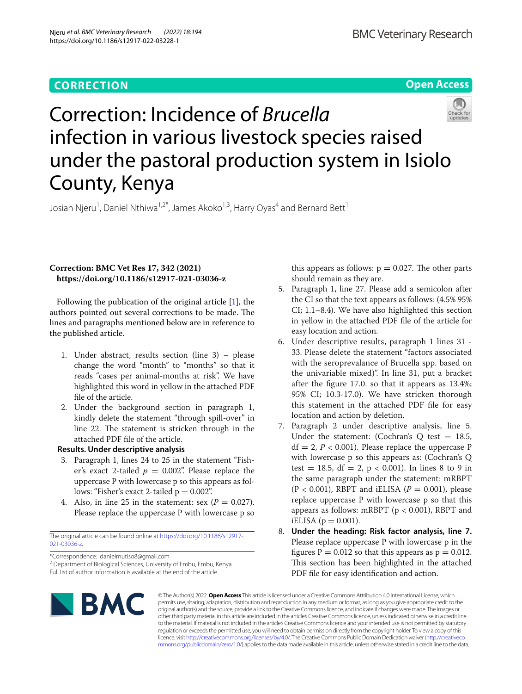# **CORRECTION**

**Open Access**



# Correction: Incidence of *Brucella* infection in various livestock species raised under the pastoral production system in Isiolo County, Kenya

Josiah Njeru<sup>1</sup>, Daniel Nthiwa<sup>1,2\*</sup>, James Akoko<sup>1,3</sup>, Harry Oyas<sup>4</sup> and Bernard Bett<sup>1</sup>

## **Correction: BMC Vet Res 17, 342 (2021) https://doi.org/10.1186/s12917-021-03036-z**

Following the publication of the original article  $[1]$  $[1]$ , the authors pointed out several corrections to be made. The lines and paragraphs mentioned below are in reference to the published article.

- 1. Under abstract, results section (line 3) please change the word "month" to "months" so that it reads "cases per animal-months at risk". We have highlighted this word in yellow in the attached PDF fle of the article.
- 2. Under the background section in paragraph 1, kindly delete the statement "through spill-over" in line 22. The statement is stricken through in the attached PDF fle of the article.

## **Results. Under descriptive analysis**

- 3. Paragraph 1, lines 24 to 25 in the statement "Fisher's exact 2-tailed  $p = 0.002$ ". Please replace the uppercase P with lowercase p so this appears as follows: "Fisher's exact 2-tailed  $p = 0.002$ ".
- 4. Also, in line 25 in the statement: sex  $(P = 0.027)$ . Please replace the uppercase P with lowercase p so

The original article can be found online at [https://doi.org/10.1186/s12917-](https://doi.org/10.1186/s12917-021-03036-z) [021-03036-z](https://doi.org/10.1186/s12917-021-03036-z).

\*Correspondence: danielmutiso8@gmail.com

<sup>2</sup> Department of Biological Sciences, University of Embu, Embu, Kenya Full list of author information is available at the end of the article

this appears as follows:  $p = 0.027$ . The other parts should remain as they are.

- 5. Paragraph 1, line 27. Please add a semicolon after the CI so that the text appears as follows: (4.5% 95% CI; 1.1–8.4). We have also highlighted this section in yellow in the attached PDF fle of the article for easy location and action.
- 6. Under descriptive results, paragraph 1 lines 31 33. Please delete the statement "factors associated with the seroprevalance of Brucella spp. based on the univariable mixed)". In line 31, put a bracket after the fgure 17.0. so that it appears as 13.4%; 95% CI; 10.3-17.0). We have stricken thorough this statement in the attached PDF fle for easy location and action by deletion.
- 7. Paragraph 2 under descriptive analysis, line 5. Under the statement: (Cochran's Q test  $= 18.5$ ,  $df = 2, P < 0.001$ ). Please replace the uppercase P with lowercase p so this appears as: (Cochran's Q test = 18.5, df = 2,  $p < 0.001$ ). In lines 8 to 9 in the same paragraph under the statement: mRBPT  $(P < 0.001)$ , RBPT and iELISA  $(P = 0.001)$ , please replace uppercase P with lowercase p so that this appears as follows: mRBPT ( $p < 0.001$ ), RBPT and iELISA ( $p = 0.001$ ).
- 8. **Under the heading: Risk factor analysis, line 7.** Please replace uppercase P with lowercase p in the figures  $P = 0.012$  so that this appears as  $p = 0.012$ . This section has been highlighted in the attached PDF file for easy identification and action.



© The Author(s) 2022. **Open Access** This article is licensed under a Creative Commons Attribution 4.0 International License, which permits use, sharing, adaptation, distribution and reproduction in any medium or format, as long as you give appropriate credit to the original author(s) and the source, provide a link to the Creative Commons licence, and indicate if changes were made. The images or other third party material in this article are included in the article's Creative Commons licence, unless indicated otherwise in a credit line to the material. If material is not included in the article's Creative Commons licence and your intended use is not permitted by statutory regulation or exceeds the permitted use, you will need to obtain permission directly from the copyright holder. To view a copy of this licence, visit [http://creativecommons.org/licenses/by/4.0/.](http://creativecommons.org/licenses/by/4.0/) The Creative Commons Public Domain Dedication waiver ([http://creativeco](http://creativecommons.org/publicdomain/zero/1.0/) [mmons.org/publicdomain/zero/1.0/](http://creativecommons.org/publicdomain/zero/1.0/)) applies to the data made available in this article, unless otherwise stated in a credit line to the data.